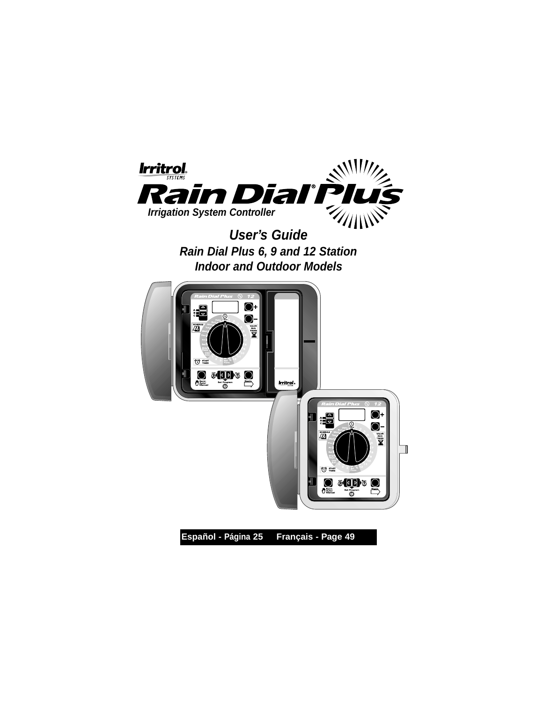

### **User's Guide Rain Dial Plus 6, 9 and 12 Station Indoor and Outdoor Models**

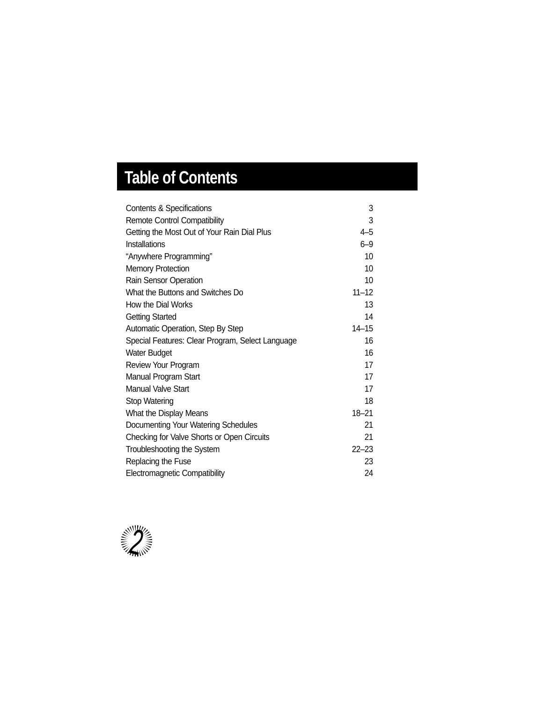# **Table of Contents**

| 3         |
|-----------|
| 3         |
| $4 - 5$   |
| $6 - 9$   |
| 10        |
| 10        |
| 10        |
| $11 - 12$ |
| 13        |
| 14        |
| $14 - 15$ |
| 16        |
| 16        |
| 17        |
| 17        |
| 17        |
| 18        |
| $18 - 21$ |
| 21        |
| 21        |
| $22 - 23$ |
| 23        |
| 24        |
|           |

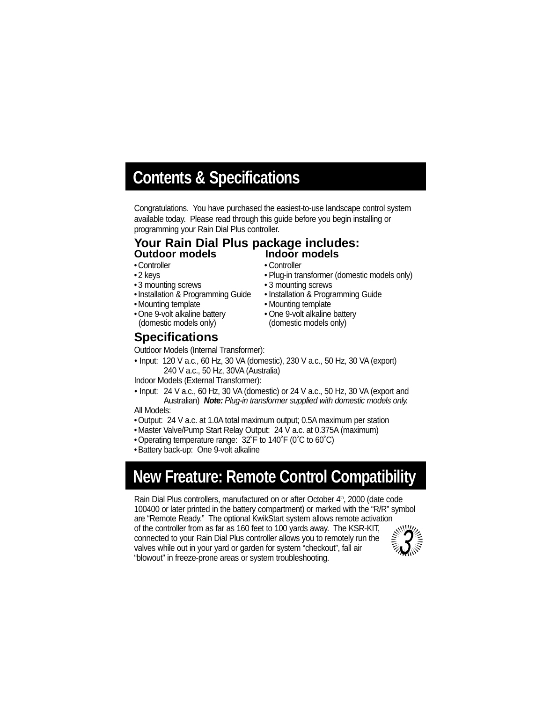# **Contents & Specifications**

Congratulations. You have purchased the easiest-to-use landscape control system available today. Please read through this guide before you begin installing or programming your Rain Dial Plus controller.

### **Your Rain Dial Plus package includes: Outdoor models**

- 
- 
- 3 mounting screws 3 mounting screws
- Mounting template Mounting template
- 
- (domestic models only) (domestic models only)

### **Specifications**

Outdoor Models (Internal Transformer):

- Input: 120 V a.c., 60 Hz, 30 VA (domestic), 230 V a.c., 50 Hz, 30 VA (export) 240 V a.c., 50 Hz, 30VA (Australia)
- Indoor Models (External Transformer):
- Input: 24 V a.c., 60 Hz, 30 VA (domestic) or 24 V a.c., 50 Hz, 30 VA (export and Australian) **Note:** Plug-in transformer supplied with domestic models only. All Models:
- Output: 24 V a.c. at 1.0A total maximum output; 0.5A maximum per station
- Master Valve/Pump Start Relay Output: 24 V a.c. at 0.375A (maximum)
- Operating temperature range: 32˚F to 140˚F (0˚C to 60˚C)
- Battery back-up: One 9-volt alkaline

## **New Freature: Remote Control Compatibility**

Rain Dial Plus controllers, manufactured on or after October 4<sup>th</sup>, 2000 (date code 100400 or later printed in the battery compartment) or marked with the "R/R" symbol are "Remote Ready." The optional KwikStart system allows remote activation of the controller from as far as 160 feet to 100 yards away. The KSR-KIT, connected to your Rain Dial Plus controller allows you to remotely run the valves while out in your yard or garden for system "checkout", fall air "blowout" in freeze-prone areas or system troubleshooting.



• Controller • Controller

- 2 keys Plug-in transformer (domestic models only)
	-
- Installation & Programming Guide Installation & Programming Guide
	-
- One 9-volt alkaline battery One 9-volt alkaline battery
	-
	-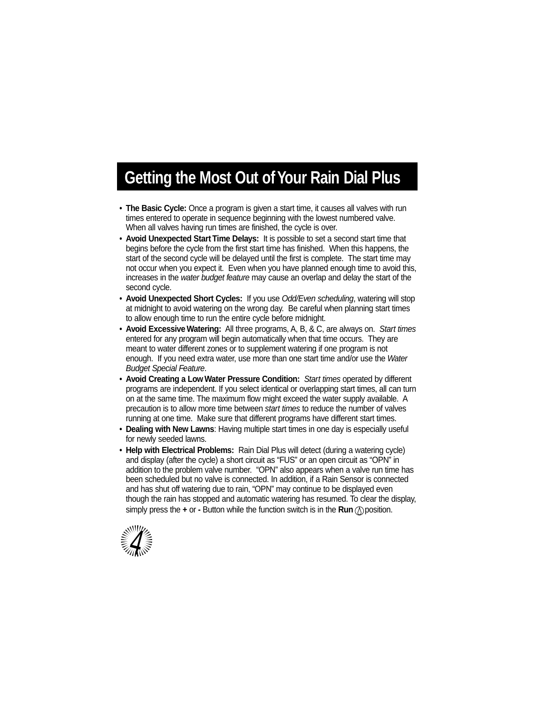# **Getting the Most Out of Your Rain Dial Plus**

- **The Basic Cycle:** Once a program is given a start time, it causes all valves with run times entered to operate in sequence beginning with the lowest numbered valve. When all valves having run times are finished, the cycle is over.
- **Avoid Unexpected Start Time Delays:** It is possible to set a second start time that begins before the cycle from the first start time has finished. When this happens, the start of the second cycle will be delayed until the first is complete. The start time may not occur when you expect it. Even when you have planned enough time to avoid this, increases in the water budget feature may cause an overlap and delay the start of the second cycle.
- **Avoid Unexpected Short Cycles:** If you use Odd/Even scheduling, watering will stop at midnight to avoid watering on the wrong day. Be careful when planning start times to allow enough time to run the entire cycle before midnight.
- **Avoid Excessive Watering:** All three programs, A, B, & C, are always on. Start times entered for any program will begin automatically when that time occurs. They are meant to water different zones or to supplement watering if one program is not enough. If you need extra water, use more than one start time and/or use the Water Budget Special Feature.
- **Avoid Creating a Low Water Pressure Condition:** Start times operated by different programs are independent. If you select identical or overlapping start times, all can turn on at the same time. The maximum flow might exceed the water supply available. A precaution is to allow more time between start times to reduce the number of valves running at one time. Make sure that different programs have different start times.
- **Dealing with New Lawns**: Having multiple start times in one day is especially useful for newly seeded lawns.
- **Help with Electrical Problems:** Rain Dial Plus will detect (during a watering cycle) and display (after the cycle) a short circuit as "FUS" or an open circuit as "OPN" in addition to the problem valve number. "OPN" also appears when a valve run time has been scheduled but no valve is connected. In addition, if a Rain Sensor is connected and has shut off watering due to rain, "OPN" may continue to be displayed even though the rain has stopped and automatic watering has resumed. To clear the display, simply press the  $\div$  or  $\div$  Button while the function switch is in the **Run**  $\Diamond$  position.

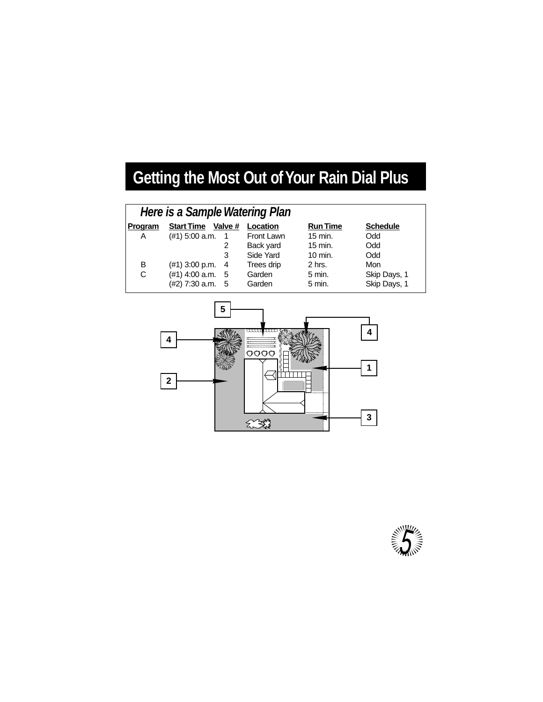# **Getting the Most Out of Your Rain Dial Plus**

# **Here is a Sample Watering Plan**

| Program | <b>Start Time</b>   | Valve # | Location   | <b>Run Time</b> | <b>Schedule</b> |
|---------|---------------------|---------|------------|-----------------|-----------------|
| A       | $(\#1)$ 5:00 a.m. 1 |         | Front Lawn | 15 min.         | Odd             |
|         |                     |         | Back yard  | 15 min.         | Odd             |
|         |                     | 3       | Side Yard  | 10 min.         | Odd             |
| В       | $(\#1)$ 3:00 p.m. 4 |         | Trees drip | 2 hrs.          | Mon             |
| С       | $(\#1)$ 4:00 a.m. 5 |         | Garden     | 5 min.          | Skip Days, 1    |
|         | $(\#2)$ 7:30 a.m. 5 |         | Garden     | 5 min.          | Skip Days, 1    |



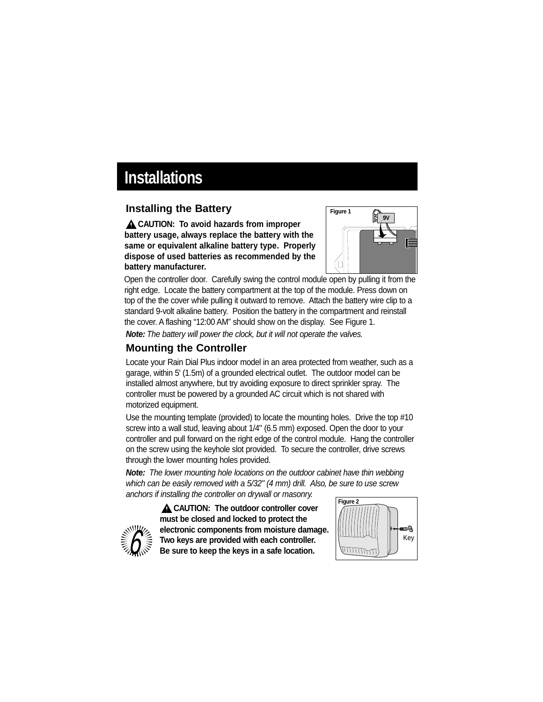# **Installations**

### **Installing the Battery**

**CAUTION: To avoid hazards from improper battery usage, always replace the battery with the same or equivalent alkaline battery type. Properly dispose of used batteries as recommended by the battery manufacturer.**



Open the controller door. Carefully swing the control module open by pulling it from the right edge. Locate the battery compartment at the top of the module. Press down on top of the the cover while pulling it outward to remove. Attach the battery wire clip to a standard 9-volt alkaline battery. Position the battery in the compartment and reinstall the cover. A flashing "12:00 AM" should show on the display. See Figure 1. **Note:** The battery will power the clock, but it will not operate the valves.

### **Mounting the Controller**

Locate your Rain Dial Plus indoor model in an area protected from weather, such as a garage, within 5' (1.5m) of a grounded electrical outlet. The outdoor model can be installed almost anywhere, but try avoiding exposure to direct sprinkler spray. The controller must be powered by a grounded AC circuit which is not shared with motorized equipment.

Use the mounting template (provided) to locate the mounting holes. Drive the top #10 screw into a wall stud, leaving about 1/4" (6.5 mm) exposed. Open the door to your controller and pull forward on the right edge of the control module. Hang the controller on the screw using the keyhole slot provided. To secure the controller, drive screws through the lower mounting holes provided.

**Note:** The lower mounting hole locations on the outdoor cabinet have thin webbing which can be easily removed with a 5/32" (4 mm) drill. Also, be sure to use screw anchors if installing the controller on drywall or masonry.



**CAUTION: The outdoor controller cover must be closed and locked to protect the electronic components from moisture damage. Two keys are provided with each controller. Be sure to keep the keys in a safe location.**

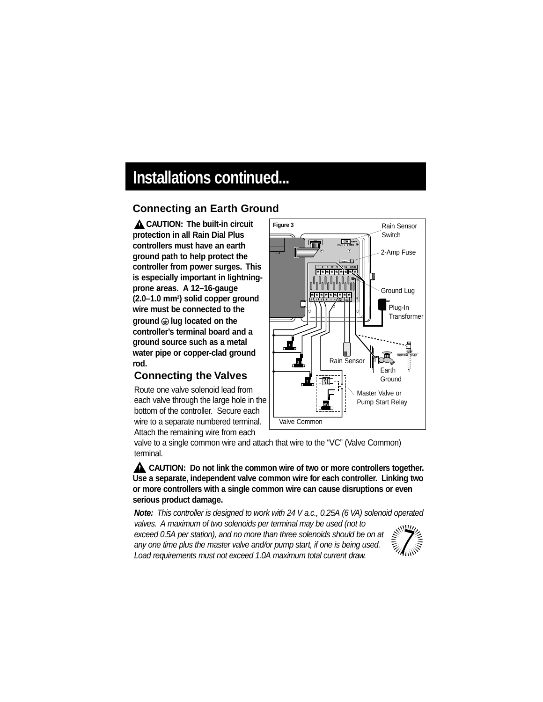# **Installations continued...**

### **Connecting an Earth Ground**

**A CAUTION: The built-in circuit protection in all Rain Dial Plus controllers must have an earth ground path to help protect the controller from power surges. This is especially important in lightningprone areas. A 12–16-gauge (2.0–1.0 mm2 ) solid copper ground wire must be connected to the ground**  $\oplus$  **lug located on the controller's terminal board and a ground source such as a metal water pipe or copper-clad ground rod.**

### **Connecting the Valves**

Route one valve solenoid lead from each valve through the large hole in the bottom of the controller. Secure each wire to a separate numbered terminal. Attach the remaining wire from each



valve to a single common wire and attach that wire to the "VC" (Valve Common) terminal.

**CAUTION: Do not link the common wire of two or more controllers together. Use a separate, independent valve common wire for each controller. Linking two or more controllers with a single common wire can cause disruptions or even serious product damage.**

**Note:** This controller is designed to work with 24 V a.c., 0.25A (6 VA) solenoid operated valves. A maximum of two solenoids per terminal may be used (not to

exceed 0.5A per station), and no more than three solenoids should be on at any one time plus the master valve and/or pump start, if one is being used. Load requirements must not exceed 1.0A maximum total current draw.

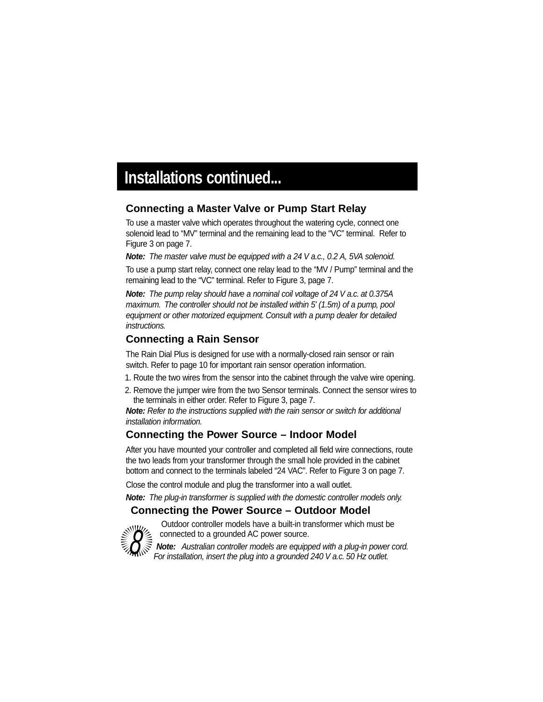# **Installations continued...**

### **Connecting a Master Valve or Pump Start Relay**

To use a master valve which operates throughout the watering cycle, connect one solenoid lead to "MV" terminal and the remaining lead to the "VC" terminal. Refer to Figure 3 on page 7.

**Note:** The master valve must be equipped with a 24 V a.c., 0.2 A, 5VA solenoid.

To use a pump start relay, connect one relay lead to the "MV / Pump" terminal and the remaining lead to the "VC" terminal. Refer to Figure 3, page 7.

**Note:** The pump relay should have a nominal coil voltage of 24 V a.c. at 0.375A maximum. The controller should not be installed within 5' (1.5m) of a pump, pool equipment or other motorized equipment. Consult with a pump dealer for detailed instructions.

### **Connecting a Rain Sensor**

The Rain Dial Plus is designed for use with a normally-closed rain sensor or rain switch. Refer to page 10 for important rain sensor operation information.

- 1. Route the two wires from the sensor into the cabinet through the valve wire opening.
- 2. Remove the jumper wire from the two Sensor terminals. Connect the sensor wires to the terminals in either order. Refer to Figure 3, page 7.

**Note:** Refer to the instructions supplied with the rain sensor or switch for additional installation information.

#### **Connecting the Power Source – Indoor Model**

After you have mounted your controller and completed all field wire connections, route the two leads from your transformer through the small hole provided in the cabinet bottom and connect to the terminals labeled "24 VAC". Refer to Figure 3 on page 7.

Close the control module and plug the transformer into a wall outlet.

**Note:** The plug-in transformer is supplied with the domestic controller models only.

#### **Connecting the Power Source – Outdoor Model**



Outdoor controller models have a built-in transformer which must be connected to a grounded AC power source.

**Note:** Australian controller models are equipped with a plug-in power cord. For installation, insert the plug into a grounded 240 V a.c. 50 Hz outlet.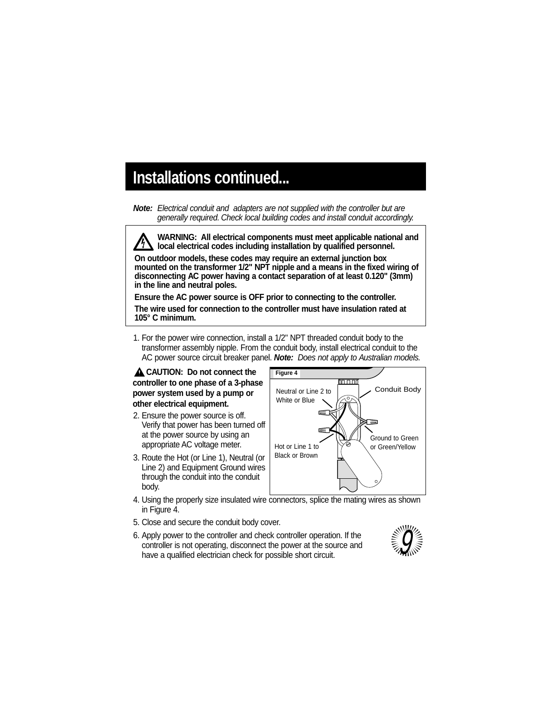# **Installations continued...**

**Note:** Electrical conduit and adapters are not supplied with the controller but are generally required. Check local building codes and install conduit accordingly.

**WARNING: All electrical components must meet applicable national and**  $\eta$ **local electrical codes including installation by qualified personnel.**

**On outdoor models, these codes may require an external junction box mounted on the transformer 1/2" NPT nipple and a means in the fixed wiring of disconnecting AC power having a contact separation of at least 0.120" (3mm) in the line and neutral poles.**

**Ensure the AC power source is OFF prior to connecting to the controller.**

**The wire used for connection to the controller must have insulation rated at 105° C minimum.**

1. For the power wire connection, install a 1/2" NPT threaded conduit body to the transformer assembly nipple. From the conduit body, install electrical conduit to the AC power source circuit breaker panel. **Note:** Does not apply to Australian models.

**A CAUTION:** Do not connect the **controller to one phase of a 3-phase power system used by a pump or other electrical equipment.**

- 2. Ensure the power source is off. Verify that power has been turned off at the power source by using an appropriate AC voltage meter.
- 3. Route the Hot (or Line 1), Neutral (or Line 2) and Equipment Ground wires through the conduit into the conduit body.
- **Figure 4** hn n nr Conduit Body Neutral or Line 2 to White or Blue Ground to Green Hot or Line 1 to or Green/Yellow Black or Brown
- 4. Using the properly size insulated wire connectors, splice the mating wires as shown in Figure 4.
- 5. Close and secure the conduit body cover.
- 6. Apply power to the controller and check controller operation. If the controller is not operating, disconnect the power at the source and have a qualified electrician check for possible short circuit.

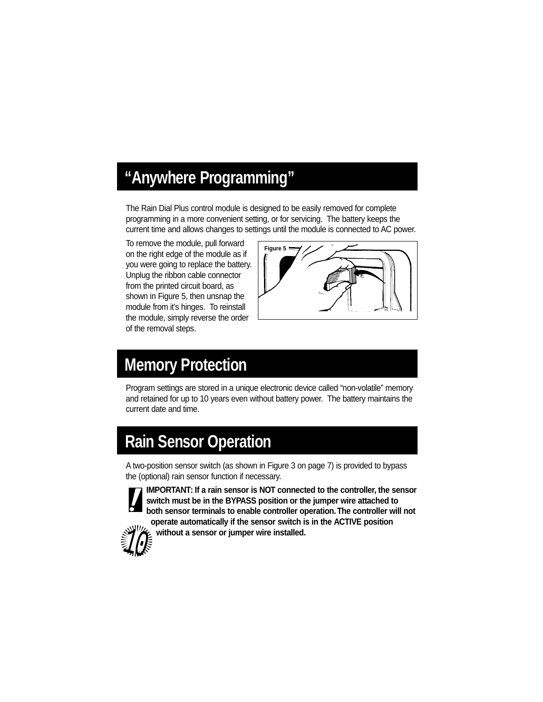# **"Anywhere Programming"**

The Rain Dial Plus control module is designed to be easily removed for complete programming in a more convenient setting, or for servicing. The battery keeps the current time and allows changes to settings until the module is connected to AC power.

To remove the module, pull forward on the right edge of the module as if you were going to replace the battery. Unplug the ribbon cable connector from the printed circuit board, as shown in Figure 5, then unsnap the module from it's hinges. To reinstall the module, simply reverse the order of the removal steps.



# **Memory Protection**

Program settings are stored in a unique electronic device called "non-volatile" memory and retained for up to 10 years even without battery power. The battery maintains the current date and time.

# **Rain Sensor Operation**

A two-position sensor switch (as shown in Figure 3 on page 7) is provided to bypass the (optional) rain sensor function if necessary.



**IMPORTANT: If a rain sensor is NOT connected to the controller, the sensor switch must be in the BYPASS position or the jumper wire attached to both sensor terminals to enable controller operation.The controller will not operate automatically if the sensor switch is in the ACTIVE position**



**without a sensor or jumper wire installed.**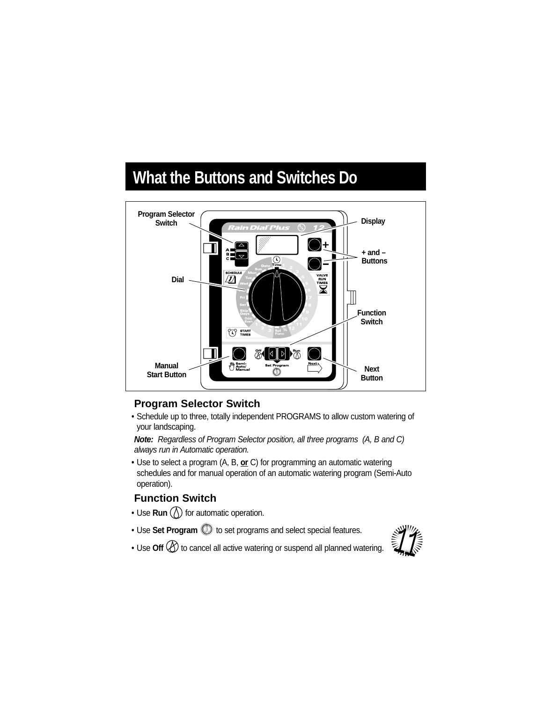# **What the Buttons and Switches Do**



#### **Program Selector Switch**

• Schedule up to three, totally independent PROGRAMS to allow custom watering of your landscaping.

**Note:** Regardless of Program Selector position, all three programs (A, B and C) always run in Automatic operation.

• Use to select a program (A, B, **or** C) for programming an automatic watering schedules and for manual operation of an automatic watering program (Semi-Auto operation).

### **Function Switch**

- Use **Run**  $\left(\bigwedge\right)$  for automatic operation.
- Use Set Program **the set programs** and select special features.



• Use Off  $\oslash$  to cancel all active watering or suspend all planned watering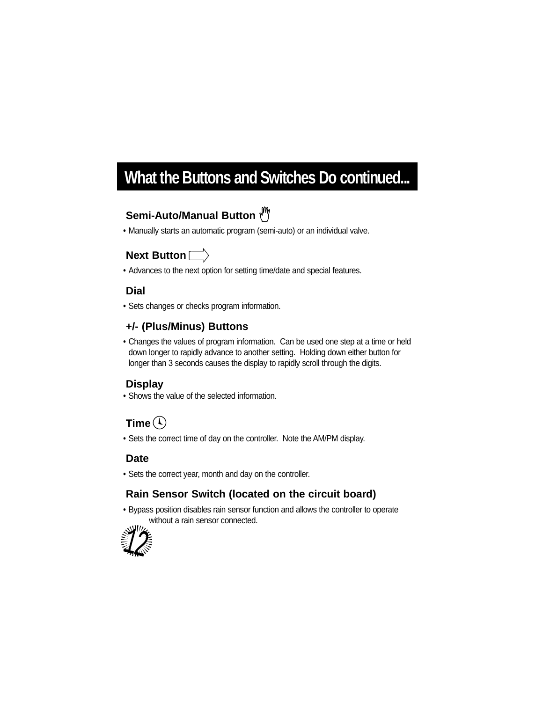# **What the Buttons and Switches Do continued...**

### **Semi-Auto/Manual Button**

• Manually starts an automatic program (semi-auto) or an individual valve.

### **Next Button**

• Advances to the next option for setting time/date and special features.

### **Dial**

• Sets changes or checks program information.

### **+/- (Plus/Minus) Buttons**

• Changes the values of program information. Can be used one step at a time or held down longer to rapidly advance to another setting. Holding down either button for longer than 3 seconds causes the display to rapidly scroll through the digits.

### **Display**

• Shows the value of the selected information.

### **Time**

• Sets the correct time of day on the controller. Note the AM/PM display.

### **Date**

• Sets the correct year, month and day on the controller.

### **Rain Sensor Switch (located on the circuit board)**

• Bypass position disables rain sensor function and allows the controller to operate without a rain sensor connected.

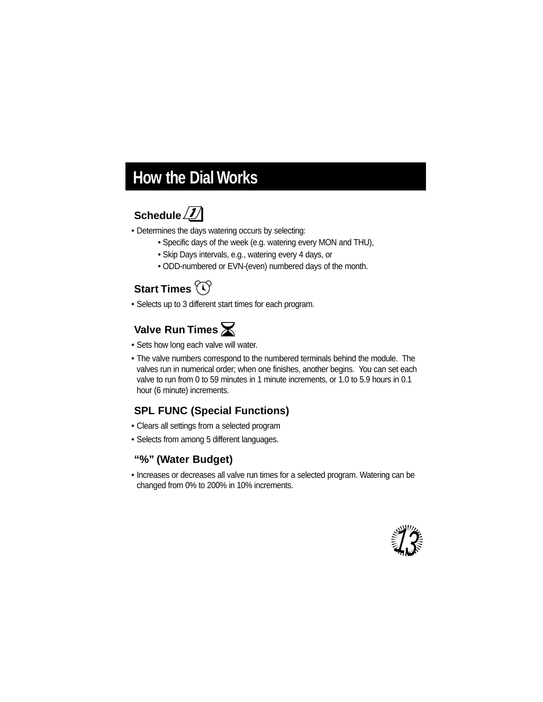# **How the Dial Works**

### Schedule<sup>11</sup>

- Determines the days watering occurs by selecting:
	- Specific days of the week (e.g. watering every MON and THU),
	- Skip Days intervals, e.g., watering every 4 days, or
	- ODD-numbered or EVN-(even) numbered days of the month.

### **Start Times**  $\langle \hat{\mathbf{Q}} \rangle$

• Selects up to 3 different start times for each program.

### **Valve Run Times**

- Sets how long each valve will water.
- The valve numbers correspond to the numbered terminals behind the module. The valves run in numerical order; when one finishes, another begins. You can set each valve to run from 0 to 59 minutes in 1 minute increments, or 1.0 to 5.9 hours in 0.1 hour (6 minute) increments.

### **SPL FUNC (Special Functions)**

- Clears all settings from a selected program
- Selects from among 5 different languages.

### **"%" (Water Budget)**

• Increases or decreases all valve run times for a selected program. Watering can be changed from 0% to 200% in 10% increments.

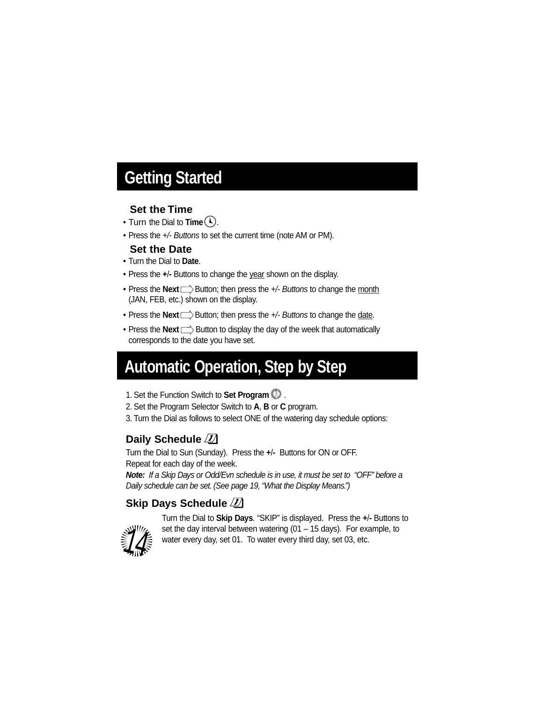# **Getting Started**

### **Set the Time**

- Turn the Dial to  $Time(\lambda)$ .
- Press the +/- Buttons to set the current time (note AM or PM).

#### **Set the Date**

- Turn the Dial to **Date**.
- Press the **+**/**-** Buttons to change the year shown on the display.
- Press the **Next**  $\Rightarrow$  Button; then press the +/- Buttons to change the month (JAN, FEB, etc.) shown on the display.
- Press the **Next**  $\Rightarrow$  Button; then press the  $\leftrightarrow$  Buttons to change the date.
- Press the **Next**  $\Rightarrow$  Button to display the day of the week that automatically corresponds to the date you have set.

# **Automatic Operation, Step by Step**

- 1. Set the Function Switch to **Set Program** .
- 2. Set the Program Selector Switch to **A**, **B** or **C** program.
- 3. Turn the Dial as follows to select ONE of the watering day schedule options:

### **Daily Schedule**

Turn the Dial to Sun (Sunday). Press the **+**/**-** Buttons for ON or OFF. Repeat for each day of the week.

**Note:** If a Skip Days or Odd/Evn schedule is in use, it must be set to "OFF" before a Daily schedule can be set. (See page 19, "What the Display Means.")

### **Skip Days Schedule**

14

Turn the Dial to **Skip Days**. "SKIP" is displayed. Press the **+**/**-** Buttons to set the day interval between watering  $(01 - 15$  days). For example, to water every day, set 01. To water every third day, set 03, etc.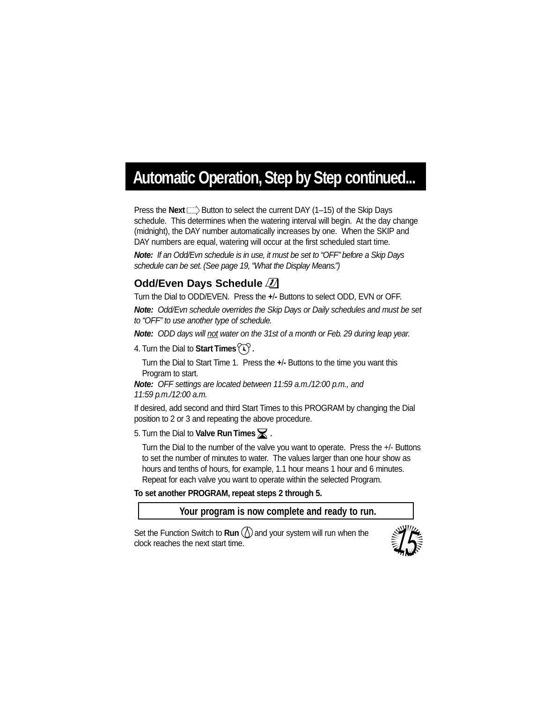# **Automatic Operation, Step by Step continued...**

Press the **Next**  $\Rightarrow$  Button to select the current DAY (1–15) of the Skip Days schedule. This determines when the watering interval will begin. At the day change (midnight), the DAY number automatically increases by one. When the SKIP and DAY numbers are equal, watering will occur at the first scheduled start time.

**Note:** If an Odd/Evn schedule is in use, it must be set to "OFF" before a Skip Days schedule can be set. (See page 19, "What the Display Means.")

### **Odd/Even Days Schedule**

Turn the Dial to ODD/EVEN. Press the **+**/**-** Buttons to select ODD, EVN or OFF.

**Note:** Odd/Evn schedule overrides the Skip Days or Daily schedules and must be set to "OFF" to use another type of schedule.

Note: ODD days will not water on the 31st of a month or Feb. 29 during leap year.

#### 4. Turn the Dial to **Start Times**  $\langle \hat{\mathbf{I}} \rangle$ .

Turn the Dial to Start Time 1. Press the **+**/**-** Buttons to the time you want this Program to start.

**Note:** OFF settings are located between 11:59 a.m./12:00 p.m., and 11:59 p.m./12:00 a.m.

If desired, add second and third Start Times to this PROGRAM by changing the Dial position to 2 or 3 and repeating the above procedure.

#### 5. Turn the Dial to **Valve Run Times** .

Turn the Dial to the number of the valve you want to operate. Press the +/- Buttons to set the number of minutes to water. The values larger than one hour show as hours and tenths of hours, for example, 1.1 hour means 1 hour and 6 minutes. Repeat for each valve you want to operate within the selected Program.

**To set another PROGRAM, repeat steps 2 through 5.**

**Your program is now complete and ready to run.**

Set the Function Switch to **Run**  $\Diamond$  and your system will run when the clock reaches the next start time.

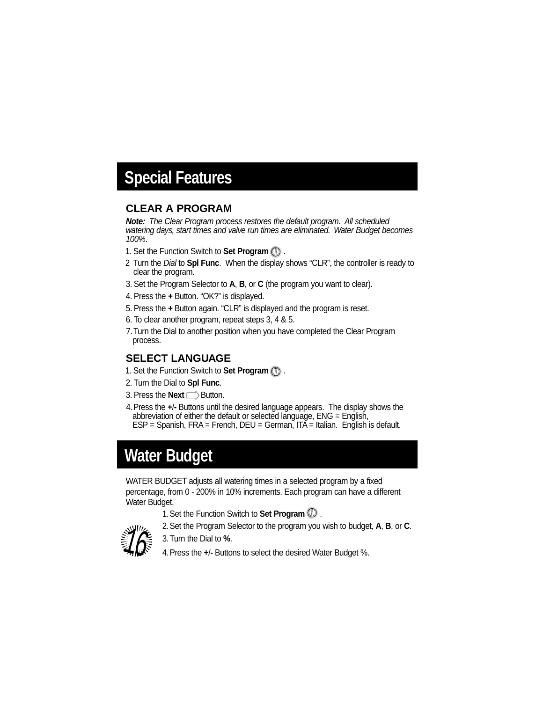# **Special Features**

### **CLEAR A PROGRAM**

**Note:** The Clear Program process restores the default program. All scheduled watering days, start times and valve run times are eliminated. Water Budget becomes 100%.

- 1. Set the Function Switch to **Set Program** .
- 2 Turn the Dial to **Spl Func**. When the display shows "CLR", the controller is ready to clear the program.
- 3. Set the Program Selector to **A**, **B**, or **C** (the program you want to clear).
- 4. Press the **+** Button. "OK?" is displayed.
- 5. Press the **+** Button again. "CLR" is displayed and the program is reset.
- 6. To clear another program, repeat steps 3, 4 & 5.
- 7.Turn the Dial to another position when you have completed the Clear Program process.

### **SELECT LANGUAGE**

- 1. Set the Function Switch to **Set Program** .
- 2. Turn the Dial to **Spl Func**.
- 3. Press the **Next**  $\Rightarrow$  Button.
- 4.Press the **+**/**-** Buttons until the desired language appears. The display shows the abbreviation of either the default or selected language, ENG = English, ESP = Spanish, FRA = French, DEU = German, ITA = Italian. English is default.

# **Water Budget**

WATER BUDGET adjusts all watering times in a selected program by a fixed percentage, from 0 - 200% in 10% increments. Each program can have a different Water Budget.

- 1.Set the Function Switch to **Set Program** .
- 2.Set the Program Selector to the program you wish to budget, **A**, **B**, or **C**.



- 3.Turn the Dial to **%**.
- 4.Press the **+**/**-** Buttons to select the desired Water Budget %.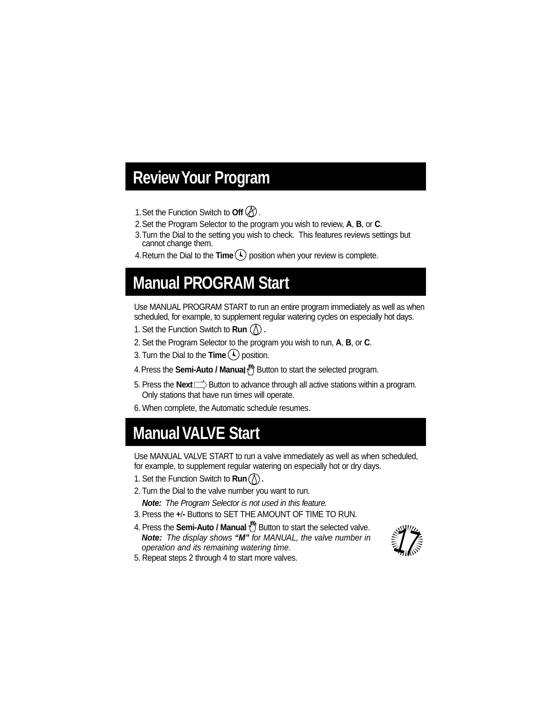# **Review Your Program**

- 1. Set the Function Switch to  $\text{Off}(\lambda)$ .
- 2.Set the Program Selector to the program you wish to review, **A**, **B**, or **C**.
- 3.Turn the Dial to the setting you wish to check. This features reviews settings but cannot change them.
- 4. Return the Dial to the  $Time(\lambda)$  position when your review is complete.

## **Manual PROGRAM Start**

Use MANUAL PROGRAM START to run an entire program immediately as well as when scheduled, for example, to supplement regular watering cycles on especially hot days.

- 1. Set the Function Switch to **Run**  $\langle \rangle$ .
- 2. Set the Program Selector to the program you wish to run, **A**, **B**, or **C**.
- 3. Turn the Dial to the **Time**  $(\lambda)$  position.
- 4. Press the **Semi-Auto / Manual** I<sup>m</sup> Button to start the selected program.
- 5. Press the **Next**  $\Rightarrow$  Button to advance through all active stations within a program. Only stations that have run times will operate.
- 6. When complete, the Automatic schedule resumes.

## **Manual VALVE Start**

Use MANUAL VALVE START to run a valve immediately as well as when scheduled, for example, to supplement regular watering on especially hot or dry days.

- 1. Set the Function Switch to  $\text{Run}(\wedge)$ .
- 2. Turn the Dial to the valve number you want to run.

**Note:** The Program Selector is not used in this feature.

- 3. Press the **+**/**-** Buttons to SET THE AMOUNT OF TIME TO RUN.
- 4. Press the **Semi-Auto / Manual**  $\frac{100}{2}$  Button to start the selected valve. **Note:** The display shows **"M"** for MANUAL, the valve number in operation and its remaining watering time.



5. Repeat steps 2 through 4 to start more valves.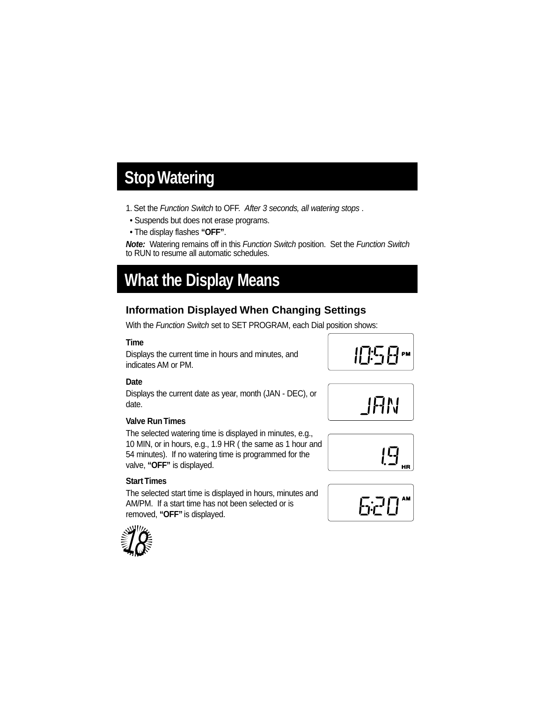# **Stop Watering**

1. Set the Function Switch to OFF. After 3 seconds, all watering stops .

- Suspends but does not erase programs.
- The display flashes **"OFF"**.

**Note:** Watering remains off in this Function Switch position. Set the Function Switch to RUN to resume all automatic schedules.

# **What the Display Means**

### **Information Displayed When Changing Settings**

With the Function Switch set to SET PROGRAM, each Dial position shows:

#### **Time**

Displays the current time in hours and minutes, and indicates AM or PM.

### **Date**

Displays the current date as year, month (JAN - DEC), or date.

#### **Valve Run Times**

The selected watering time is displayed in minutes, e.g., 10 MIN, or in hours, e.g., 1.9 HR ( the same as 1 hour and 54 minutes). If no watering time is programmed for the valve, **"OFF"** is displayed.

# $\mathfrak{l} \mathfrak{q}$

#### **Start Times**

The selected start time is displayed in hours, minutes and AM/PM. If a start time has not been selected or is removed, **"OFF"** is displayed.







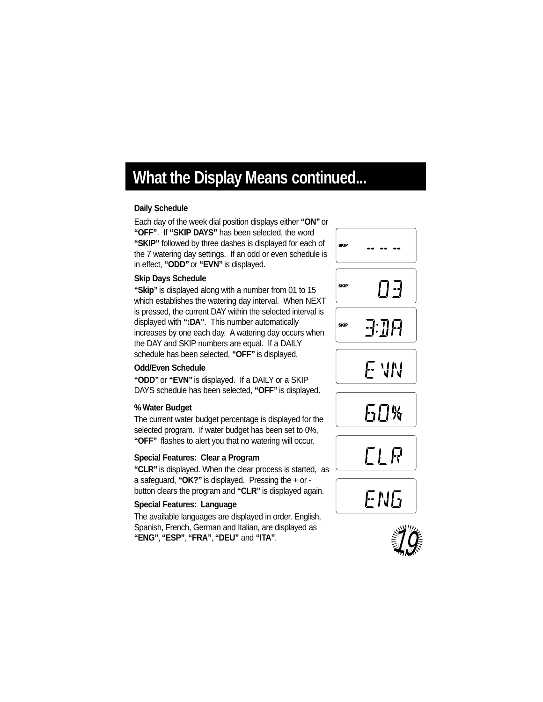# **What the Display Means continued...**

#### **Daily Schedule**

Each day of the week dial position displays either **"ON"** or **"OFF"**. If **"SKIP DAYS"** has been selected, the word **"SKIP"** followed by three dashes is displayed for each of the 7 watering day settings. If an odd or even schedule is in effect, **"ODD"** or **"EVN"** is displayed.

#### **Skip Days Schedule**

**"Skip"** is displayed along with a number from 01 to 15 which establishes the watering day interval. When NEXT is pressed, the current DAY within the selected interval is displayed with **":DA"**. This number automatically increases by one each day. A watering day occurs when the DAY and SKIP numbers are equal. If a DAILY schedule has been selected, **"OFF"** is displayed.

#### **Odd/Even Schedule**

**"ODD"** or **"EVN"** is displayed. If a DAILY or a SKIP DAYS schedule has been selected, **"OFF"** is displayed.

#### **% Water Budget**

The current water budget percentage is displayed for the selected program. If water budget has been set to 0%, **"OFF"** flashes to alert you that no watering will occur.

#### **Special Features: Clear a Program**

**"CLR"** is displayed. When the clear process is started, as a safeguard, **"OK?"** is displayed. Pressing the + or button clears the program and **"CLR"** is displayed again.

#### **Special Features: Language**

The available languages are displayed in order. English, Spanish, French, German and Italian, are displayed as **"ENG"**, **"ESP"**, **"FRA"**, **"DEU"** and **"ITA"**.



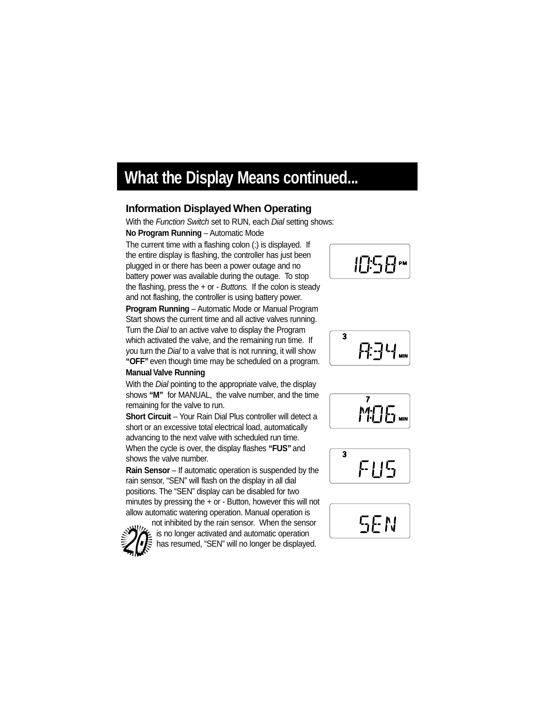# **What the Display Means continued...**

### **Information Displayed When Operating**

With the Function Switch set to RUN, each Dial setting shows:

#### **No Program Running** – Automatic Mode

The current time with a flashing colon (:) is displayed. If the entire display is flashing, the controller has just been plugged in or there has been a power outage and no battery power was available during the outage. To stop the flashing, press the  $+$  or - Buttons. If the colon is steady and not flashing, the controller is using battery power.

**Program Running** – Automatic Mode or Manual Program Start shows the current time and all active valves running. Turn the Dial to an active valve to display the Program which activated the valve, and the remaining run time. If you turn the Dial to a valve that is not running, it will show **"OFF"** even though time may be scheduled on a program.

#### **Manual Valve Running**

With the Dial pointing to the appropriate valve, the display shows **"M"** for MANUAL, the valve number, and the time remaining for the valve to run.

**Short Circuit** – Your Rain Dial Plus controller will detect a short or an excessive total electrical load, automatically advancing to the next valve with scheduled run time. When the cycle is over, the display flashes **"FUS"** and shows the valve number.

**Rain Sensor** – If automatic operation is suspended by the rain sensor, "SEN" will flash on the display in all dial positions. The "SEN" display can be disabled for two minutes by pressing the + or - Button, however this will not allow automatic watering operation. Manual operation is

20

not inhibited by the rain sensor. When the sensor is no longer activated and automatic operation has resumed, "SEN" will no longer be displayed.









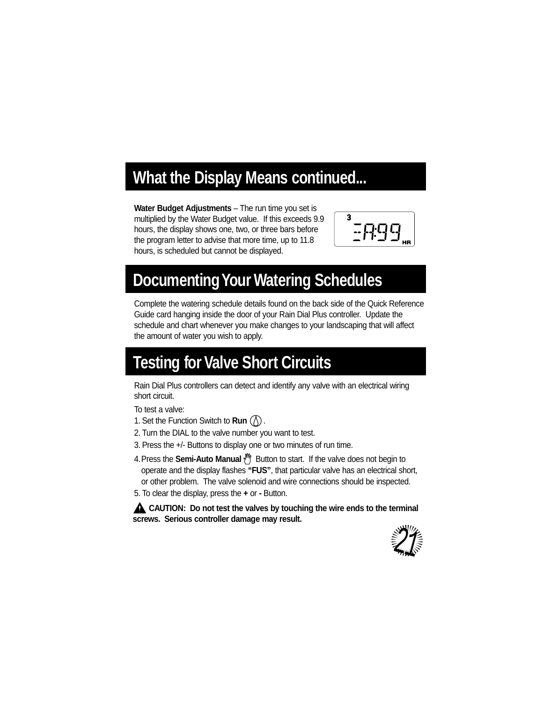# **What the Display Means continued...**

**Water Budget Adjustments** – The run time you set is multiplied by the Water Budget value. If this exceeds 9.9 hours, the display shows one, two, or three bars before the program letter to advise that more time, up to 11.8 hours, is scheduled but cannot be displayed.



### **Documenting Your Watering Schedules**

Complete the watering schedule details found on the back side of the Quick Reference Guide card hanging inside the door of your Rain Dial Plus controller. Update the schedule and chart whenever you make changes to your landscaping that will affect the amount of water you wish to apply.

### **Testing for Valve Short Circuits**

Rain Dial Plus controllers can detect and identify any valve with an electrical wiring short circuit.

To test a valve:

- 1. Set the Function Switch to **Run**  $\langle \rangle$ .
- 2. Turn the DIAL to the valve number you want to test.
- 3. Press the +/- Buttons to display one or two minutes of run time.
- 4. Press the **Semi-Auto Manual**  $\sqrt{m}$  Button to start. If the valve does not begin to operate and the display flashes **"FUS"**, that particular valve has an electrical short, or other problem. The valve solenoid and wire connections should be inspected.
- 5. To clear the display, press the **+** or Button.

**CAUTION:** Do not test the valves by touching the wire ends to the terminal **screws. Serious controller damage may result.**

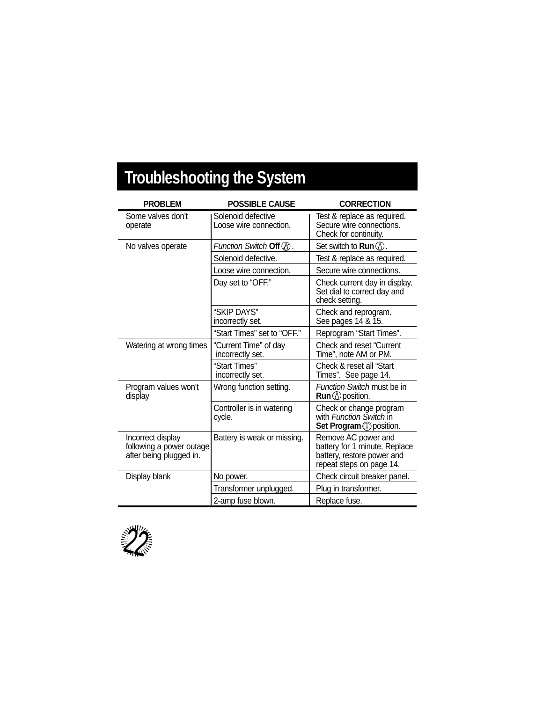# **Troubleshooting the System**

| <b>PROBLEM</b>                                                           | <b>POSSIBLE CAUSE</b>                        | <b>CORRECTION</b>                                                                                              |
|--------------------------------------------------------------------------|----------------------------------------------|----------------------------------------------------------------------------------------------------------------|
| Some valves don't<br>operate                                             | Solenoid defective<br>Loose wire connection. | Test & replace as required.<br>Secure wire connections.<br>Check for continuity.                               |
| No valves operate                                                        | Function Switch <b>Off</b> $\oslash$ .       | Set switch to <b>Run</b> $\oslash$ .                                                                           |
|                                                                          | Solenoid defective.                          | Test & replace as required.                                                                                    |
|                                                                          | Loose wire connection.                       | Secure wire connections.                                                                                       |
|                                                                          | Day set to "OFF."                            | Check current day in display.<br>Set dial to correct day and<br>check setting.                                 |
|                                                                          | "SKIP DAYS"<br>incorrectly set.              | Check and reprogram.<br>See pages 14 & 15.                                                                     |
|                                                                          | "Start Times" set to "OFF."                  | Reprogram "Start Times".                                                                                       |
| Watering at wrong times                                                  | "Current Time" of day<br>incorrectly set.    | <b>Check and reset "Current</b><br>Time", note AM or PM.                                                       |
|                                                                          | "Start Times"<br>incorrectly set.            | Check & reset all "Start<br>Times". See page 14.                                                               |
| Program values won't<br>display                                          | Wrong function setting.                      | Function Switch must be in<br>$Run \oslash$ position.                                                          |
|                                                                          | Controller is in watering<br>cycle.          | Check or change program<br>with Function Switch in<br>Set Program <b>Oposition</b> .                           |
| Incorrect display<br>following a power outage<br>after being plugged in. | Battery is weak or missing.                  | Remove AC power and<br>battery for 1 minute. Replace<br>battery, restore power and<br>repeat steps on page 14. |
| Display blank                                                            | No power.                                    | Check circuit breaker panel.                                                                                   |
|                                                                          | Transformer unplugged.                       | Plug in transformer.                                                                                           |
|                                                                          | 2-amp fuse blown.                            | Replace fuse.                                                                                                  |

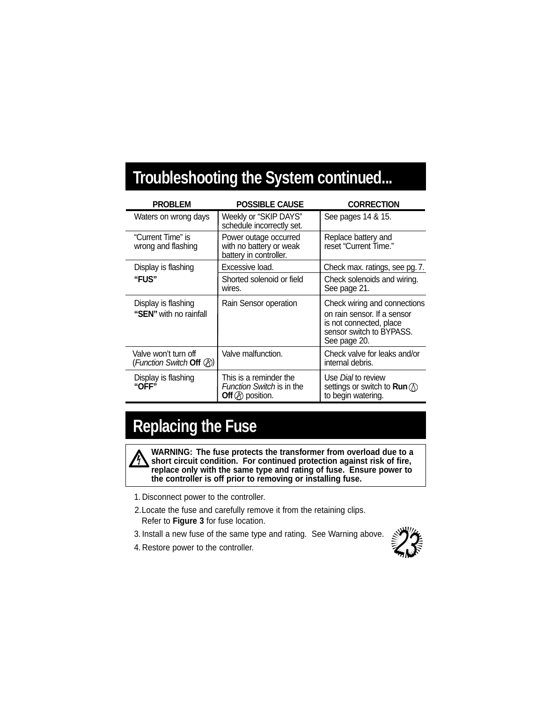# **Troubleshooting the System continued...**

| <b>PROBLEM</b>                                                                  | <b>POSSIBLE CAUSE</b>                                                                         | <b>CORRECTION</b>                                                                                                                  |
|---------------------------------------------------------------------------------|-----------------------------------------------------------------------------------------------|------------------------------------------------------------------------------------------------------------------------------------|
| Waters on wrong days                                                            | Weekly or "SKIP DAYS"<br>schedule incorrectly set.                                            | See pages 14 & 15.                                                                                                                 |
| "Current Time" is<br>wrong and flashing                                         | Power outage occurred<br>with no battery or weak<br>battery in controller.                    | Replace battery and<br>reset "Current Time."                                                                                       |
| Display is flashing                                                             | Excessive load.                                                                               | Check max. ratings, see pg. 7.                                                                                                     |
| "FUS"                                                                           | Shorted solenoid or field<br>wires.                                                           | Check solenoids and wiring.<br>See page 21.                                                                                        |
| Display is flashing<br>"SEN" with no rainfall                                   | Rain Sensor operation                                                                         | Check wiring and connections<br>on rain sensor. If a sensor<br>is not connected, place<br>sensor switch to BYPASS.<br>See page 20. |
| Valve won't turn off<br>(Function Switch <b>Off</b> $\langle \hat{r} \rangle$ ) | Valve malfunction.                                                                            | Check valve for leaks and/or<br>internal debris.                                                                                   |
| Display is flashing<br>"OFF"                                                    | This is a reminder the<br><i>Function Switch</i> is in the<br>Off $\langle \rangle$ position. | Use Dial to review<br>settings or switch to $\mathsf{Run}(\mathcal{D})$<br>to begin watering.                                      |

# **Replacing the Fuse**

**WARNING: The fuse protects the transformer from overload due to a**  $\mathcal{N}$ **short circuit condition. For continued protection against risk of fire, replace only with the same type and rating of fuse. Ensure power to the controller is off prior to removing or installing fuse.**

- 1. Disconnect power to the controller.
- 2.Locate the fuse and carefully remove it from the retaining clips. Refer to **Figure 3** for fuse location.
- 3. Install a new fuse of the same type and rating. See Warning above.
- 4. Restore power to the controller.